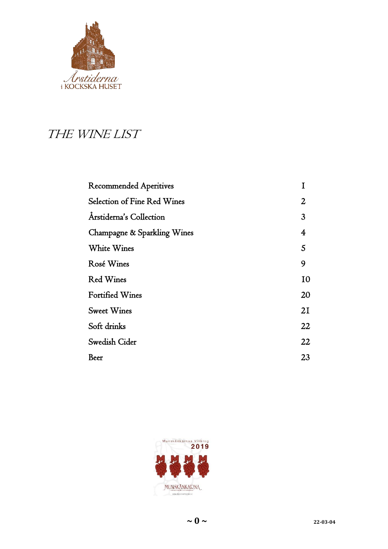

# THE WINE LIST

| <b>Recommended Aperitives</b> |                |
|-------------------------------|----------------|
| Selection of Fine Red Wines   | $\overline{2}$ |
| Arstiderna's Collection       | 3              |
| Champagne & Sparkling Wines   | 4              |
| White Wines                   | 5              |
| Rosé Wines                    | 9              |
| <b>Red Wines</b>              | 10             |
| <b>Fortified Wines</b>        | 20             |
| <b>Sweet Wines</b>            | 21             |
| Soft drinks                   | 22             |
| Swedish Cider                 | 22             |
| Beer                          | 23             |
|                               |                |

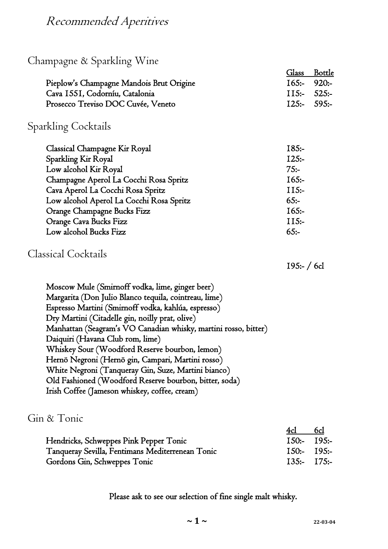### Recommended Aperitives

### Champagne & Sparkling Wine

|                                          | Glass Bottle |
|------------------------------------------|--------------|
| Pieplow's Champagne Mandois Brut Origine | 165: 920:    |
| Cava 1551, Codorníu, Catalonia           | 115: 525:    |
| Prosecco Treviso DOC Cuvée, Veneto       | 125: 595:    |

#### Sparkling Cocktails

| Classical Champagne Kir Royal            | $185:-$  |
|------------------------------------------|----------|
| Sparkling Kir Royal                      | $125: -$ |
| Low alcohol Kir Royal                    | $75: -$  |
| Champagne Aperol La Cocchi Rosa Spritz   | $165:-$  |
| Cava Aperol La Cocchi Rosa Spritz        | $115: -$ |
| Low alcohol Aperol La Cocchi Rosa Spritz | $65:-$   |
| Orange Champagne Bucks Fizz              | $I65:-$  |
| Orange Cava Bucks Fizz                   | $115: -$ |
| Low alcohol Bucks Fizz                   | $65: -$  |

#### Classical Cocktails

195:- / 6cl

Moscow Mule (Smirnoff vodka, lime, ginger beer) Margarita (Don Julio Blanco tequila, cointreau, lime) Espresso Martini (Smirnoff vodka, kahlúa, espresso) Dry Martini (Citadelle gin, noilly prat, olive) Manhattan (Seagram's VO Canadian whisky, martini rosso, bitter) Daiquiri (Havana Club rom, lime) Whiskey Sour (Woodford Reserve bourbon, lemon) Hernö Negroni (Hernö gin, Campari, Martini rosso) White Negroni (Tanqueray Gin, Suze, Martini bianco) Old Fashioned (Woodford Reserve bourbon, bitter, soda) Irish Coffee (Jameson whiskey, coffee, cream)

#### Gin & Tonic

|                                                  | 4cl           | 6cl           |
|--------------------------------------------------|---------------|---------------|
| Hendricks, Schweppes Pink Pepper Tonic           | $150:- 195:-$ |               |
| Tanqueray Sevilla, Fentimans Mediterrenean Tonic |               | $150:- 195:-$ |
| Gordons Gin, Schweppes Tonic                     |               | $135:- 175:-$ |

Please ask to see our selection of fine single malt whisky.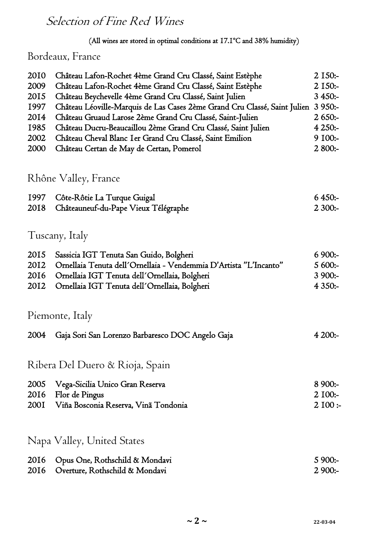# Selection of Fine Red Wines

#### (All wines are stored in optimal conditions at 17.1ºC and 38% humidity)

### Bordeaux, France

| 2010<br>2009<br>2015<br>1997<br>2014<br>1985<br>2002<br>2000 | Château Lafon-Rochet 4ème Grand Cru Classé, Saint Estèphe<br>Château Lafon-Rochet 4ème Grand Cru Classé, Saint Estèphe<br>Château Beychevelle 4ème Grand Cru Classé, Saint Julien<br>Château Léoville-Marquis de Las Cases 2ème Grand Cru Classé, Saint Julien<br>Château Gruaud Larose 2ème Grand Cru Classé, Saint-Julien<br>Château Ducru-Beaucaillou 2ème Grand Cru Classé, Saint Julien<br>Château Cheval Blanc I er Grand Cru Classé, Saint Emilion<br>Château Certan de May de Certan, Pomerol | 2 150:-<br>$2$ 150:-<br>$3450:-$<br>$3950:-$<br>$2650: -$<br>4 250:-<br>9 100:-<br>2 800:- |
|--------------------------------------------------------------|-------------------------------------------------------------------------------------------------------------------------------------------------------------------------------------------------------------------------------------------------------------------------------------------------------------------------------------------------------------------------------------------------------------------------------------------------------------------------------------------------------|--------------------------------------------------------------------------------------------|
|                                                              | Rhône Valley, France                                                                                                                                                                                                                                                                                                                                                                                                                                                                                  |                                                                                            |
| 1997<br>2018                                                 | Côte-Rôtie La Turque Guigal<br>Châteauneuf-du-Pape Vieux Télégraphe                                                                                                                                                                                                                                                                                                                                                                                                                                   | $6450:-$<br>$2300:-$                                                                       |
|                                                              | Tuscany, Italy                                                                                                                                                                                                                                                                                                                                                                                                                                                                                        |                                                                                            |
| 2015<br>2012<br>2016<br>2012                                 | Sassicia IGT Tenuta San Guido, Bolgheri<br>Ornellaia Tenuta dell'Ornellaia - Vendemmia D'Artista "L'Incanto"<br>Ornellaia IGT Tenuta dell'Ornellaia, Bolgheri<br>Ornellaia IGT Tenuta dell'Ornellaia, Bolgheri                                                                                                                                                                                                                                                                                        | $6900:-$<br>5 600:-<br>$3900:-$<br>4 3 5 0:-                                               |
|                                                              | Piemonte, Italy                                                                                                                                                                                                                                                                                                                                                                                                                                                                                       |                                                                                            |
| 2004                                                         | Gaja Sori San Lorenzo Barbaresco DOC Angelo Gaja                                                                                                                                                                                                                                                                                                                                                                                                                                                      | 4200:                                                                                      |
|                                                              | Ribera Del Duero & Rioja, Spain                                                                                                                                                                                                                                                                                                                                                                                                                                                                       |                                                                                            |
| 2005<br>2016<br><b>2001</b>                                  | Vega-Sicilia Unico Gran Reserva<br>Flor de Pingus<br>Viña Bosconia Reserva, Vinã Tondonia                                                                                                                                                                                                                                                                                                                                                                                                             | $8900:-$<br>$2\,100$ :-<br>$2\,100:$                                                       |
|                                                              | Napa Valley, United States                                                                                                                                                                                                                                                                                                                                                                                                                                                                            |                                                                                            |
| 2016<br>2016                                                 | Opus One, Rothschild & Mondavi<br>Overture, Rothschild & Mondavi                                                                                                                                                                                                                                                                                                                                                                                                                                      | $5900:-$<br>$2900:-$                                                                       |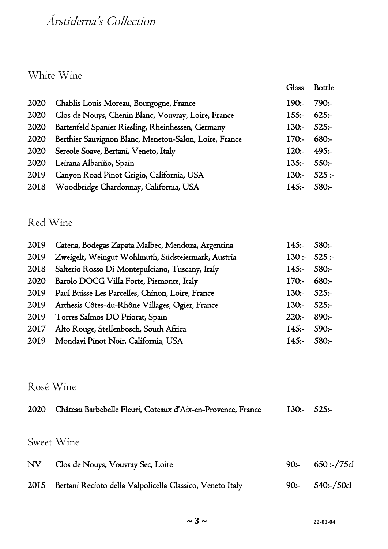# Årstiderna's Collection

#### White Wine

|      |                                                        |               | Glass Bottle |
|------|--------------------------------------------------------|---------------|--------------|
| 2020 | Chablis Louis Moreau, Bourgogne, France                | $190:-$       | $790:-$      |
| 2020 | Clos de Nouys, Chenin Blanc, Vouvray, Loire, France    | $155:- 625:-$ |              |
| 2020 | Battenfeld Spanier Riesling, Rheinhessen, Germany      | 130:525:      |              |
| 2020 | Berthier Sauvignon Blanc, Menetou-Salon, Loire, France | $170:-$       | 680:         |
|      | 2020 Sereole Soave, Bertani, Veneto, Italy             | 120:          | 495:         |
| 2020 | Leirana Albariño, Spain                                | $135:- 550:-$ |              |
| 2019 | Canyon Road Pinot Grigio, California, USA              |               | 130: 525:    |
| 2018 | Woodbridge Chardonnay, California, USA                 | I45: 580:     |              |

## Red Wine

| 2019 | Catena, Bodegas Zapata Malbec, Mendoza, Argentina     | $I45:- 580:-$ |         |
|------|-------------------------------------------------------|---------------|---------|
| 2019 | Zweigelt, Weingut Wohlmuth, Südsteiermark, Austria    | 130: 525:     |         |
| 2018 | Salterio Rosso Di Montepulciano, Tuscany, Italy       | I45: 580:     |         |
| 2020 | Barolo DOCG Villa Forte, Piemonte, Italy              | $170:-$       | -:680   |
|      | 2019 Paul Buisse Les Parcelles, Chinon, Loire, France | $130:- 525:-$ |         |
|      | 2019 Arthesis Côtes-du-Rhône Villages, Ogier, France  | $130:- 525:-$ |         |
| 2019 | Torres Salmos DO Priorat, Spain                       | $220:-$       | $890:-$ |
| 2017 | Alto Rouge, Stellenbosch, South Africa                | $I45:- 590:-$ |         |
|      | 2019 Mondavi Pinot Noir, California, USA              | 145:580:      |         |

#### Rosé Wine

| 2020       | Château Barbebelle Fleuri, Coteaux d'Aix-en-Provence, France | <b>130:-</b> | $525:-$          |
|------------|--------------------------------------------------------------|--------------|------------------|
| Sweet Wine |                                                              |              |                  |
| NV         | Clos de Nouys, Vouvray Sec, Loire                            | $90:-$       | 650 :-/75cl      |
| 2015       | Bertani Recioto della Valpolicella Classico, Veneto Italy    | $90:-$       | $540$ :-/ $50c1$ |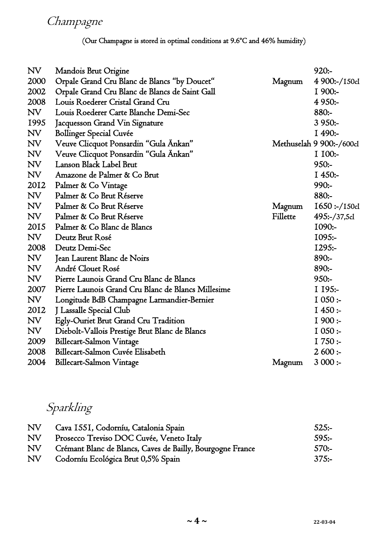(Our Champagne is stored in optimal conditions at 9.6ºC and 46% humidity)

| <b>NV</b> | Mandois Brut Origine                               |          | $920:-$                  |
|-----------|----------------------------------------------------|----------|--------------------------|
| 2000      | Orpale Grand Cru Blanc de Blancs "by Doucet"       | Magnum   | 4 900:-/150cl            |
| 2002      | Orpale Grand Cru Blanc de Blancs de Saint Gall     |          | I 900:-                  |
| 2008      | Louis Roederer Cristal Grand Cru                   |          | $4950:-$                 |
| $N\!V$    | Louis Roederer Carte Blanche Demi-Sec              |          | 880:-                    |
| 1995      | Jacquesson Grand Vin Signature                     |          | $3950:-$                 |
| NV        | <b>Bollinger Special Cuvée</b>                     |          | I 490:-                  |
| NV        | Veuve Clicquot Ponsardin "Gula Ankan"              |          | Methuselah 9 900:-/600cl |
| <b>NV</b> | Veuve Clicquot Ponsardin "Gula Ankan"              |          | I 100:-                  |
| <b>NV</b> | Lanson Black Label Brut                            |          | $950:-$                  |
| NV        | Amazone de Palmer & Co Brut                        |          | $I450:-$                 |
| 2012      | Palmer & Co Vintage                                |          | 990:-                    |
| NV        | Palmer & Co Brut Réserve                           |          | 880:-                    |
| NV        | Palmer & Co Brut Réserve                           | Magnum   | $1650$ :-/150cl          |
| NV        | Palmer & Co Brut Réserve                           | Fillette | $495:-/37,5c1$           |
| 2015      | Palmer & Co Blanc de Blancs                        |          | $1090: -$                |
| NV        | Deutz Brut Rosé                                    |          | $1095: -$                |
| 2008      | Deutz Demi-Sec                                     |          | $1295: -$                |
| NV        | Jean Laurent Blanc de Noirs                        |          | $890:-$                  |
| NV        | André Clouet Rosé                                  |          | $890:-$                  |
| $N\!V$    | Pierre Launois Grand Cru Blanc de Blancs           |          | 950:                     |
| 2007      | Pierre Launois Grand Cru Blanc de Blancs Millesime |          | $I$ 195:-                |
| NV        | Longitude BdB Champagne Larmandier-Bernier         |          | 1050:                    |
| 2012      | J Lassalle Special Club                            |          | $I$ 450:-                |
| NV        | Egly-Ouriet Brut Grand Cru Tradition               |          | 1900:                    |
| NV        | Diebolt-Vallois Prestige Brut Blanc de Blancs      |          | 1050:                    |
| 2009      | Billecart-Salmon Vintage                           |          | 1750:                    |
| 2008      | Billecart-Salmon Cuvée Elisabeth                   |          | 2600:                    |
| 2004      | Billecart-Salmon Vintage                           | Magnum   | 3000:                    |

Sparkling

| ${\rm NV}$ | Cava 1551, Codorníu, Catalonia Spain                       | 525:    |
|------------|------------------------------------------------------------|---------|
| ${\rm NV}$ | Prosecco Treviso DOC Cuvée, Veneto Italy                   | $595:-$ |
| ${\rm NV}$ | Crémant Blanc de Blancs, Caves de Bailly, Bourgogne France | $570:-$ |
| ${\rm NV}$ | Codorníu Ecológica Brut 0,5% Spain                         | $375:-$ |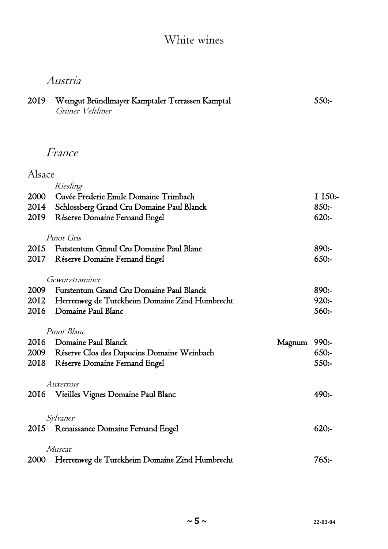# White wines

# Austria

| 2019 Weingut Bründlmayer Kamptaler Terrassen Kamptal | $550:-$ |
|------------------------------------------------------|---------|
| Grüner Veltliner                                     |         |

# France

## Alsace

|             | Riesling                                        |        |          |
|-------------|-------------------------------------------------|--------|----------|
| 2000        | Cuvée Frederic Emile Domaine Trimbach           |        | I 150:-  |
| 2014        | Schlossberg Grand Cru Domaine Paul Blanck       |        | $850:-$  |
| 2019        | Réserve Domaine Fernand Engel                   |        | $620: -$ |
|             |                                                 |        |          |
|             | Pinot Gris                                      |        |          |
| 2015        | Furstentum Grand Cru Domaine Paul Blanc         |        | $890:-$  |
| 2017        | Réserve Domaine Fernand Engel                   |        | $650:-$  |
|             |                                                 |        |          |
|             | Gewurztraminer                                  |        |          |
| 2009        | Furstentum Grand Cru Domaine Paul Blanck        |        | $890:-$  |
| 2012        | Herrenweg de Turckheim Domaine Zind Humbrecht   |        | $920:-$  |
| 2016        | <b>Domaine Paul Blanc</b>                       |        | $560: -$ |
|             |                                                 |        |          |
|             | Pinot Blanc                                     |        |          |
| 2016        | Domaine Paul Blanck                             | Magnum | $990:-$  |
|             | 2009 Réserve Clos des Dapucins Domaine Weinbach |        | 650:     |
|             | 2018 Réserve Domaine Fernand Engel              |        | $550: -$ |
|             |                                                 |        |          |
|             | Auxerrois                                       |        |          |
| 2016        | Vieilles Vignes Domaine Paul Blanc              |        | 490:     |
|             |                                                 |        |          |
|             | Sylvaner                                        |        |          |
| 2015        | Renaissance Domaine Fernand Engel               |        | $620: -$ |
|             |                                                 |        |          |
|             | Muscat                                          |        |          |
| <b>2000</b> | Herrenweg de Turckheim Domaine Zind Humbrecht   |        | 765:     |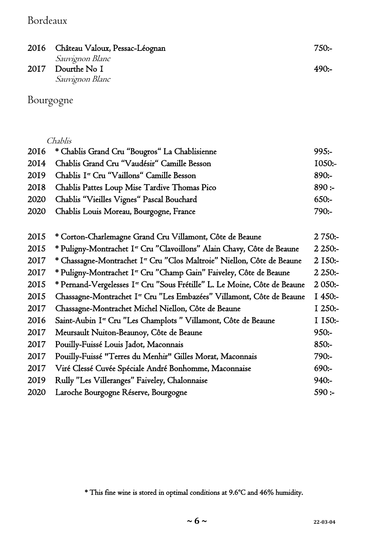#### Bordeaux

| 2016 Château Valoux, Pessac-Léognan | 750:- |
|-------------------------------------|-------|
| <i>Sauvignon Blanc</i>              |       |
| 2017 Dourthe No I                   | 490:  |
| Sauvignon Blanc                     |       |

Bourgogne

|      | 2016 * Chablis Grand Cru "Bougros" La Chablisienne    | $995:-$   |
|------|-------------------------------------------------------|-----------|
| 2014 | Chablis Grand Cru "Vaudésir" Camille Besson           | $I050: -$ |
| 2019 | Chablis I <sup>er</sup> Cru "Vaillons" Camille Besson | $890:-$   |
|      | 2018 Chablis Pattes Loup Mise Tardive Thomas Pico     | 890:      |
| 2020 | Chablis "Vieilles Vignes" Pascal Bouchard             | $650:-$   |
|      | 2020 Chablis Louis Moreau, Bourgogne, France          | $790:-$   |

| 2015 | * Corton-Charlemagne Grand Cru Villamont, Côte de Beaune                              | 2 750:-   |
|------|---------------------------------------------------------------------------------------|-----------|
| 2015 | * Puligny-Montrachet I <sup>er</sup> Cru "Clavoillons" Alain Chavy, Côte de Beaune    | 2250:     |
| 2017 | * Chassagne-Montrachet I <sup>er</sup> Cru "Clos Maltroie" Niellon, Côte de Beaune    | $2$ 150:- |
| 2017 | * Puligny-Montrachet I <sup>er</sup> Cru "Champ Gain" Faiveley, Côte de Beaune        | 2250:     |
| 2015 | * Pernand-Vergelesses I <sup>er</sup> Cru "Sous Frétille" L. Le Moine, Côte de Beaune | $2050:-$  |
| 2015 | Chassagne-Montrachet I <sup>er</sup> Cru "Les Embazées" Villamont, Côte de Beaune     | $1450:-$  |
| 2017 | Chassagne-Montrachet Michel Niellon, Côte de Beaune                                   | $1250: -$ |
| 2016 | Saint-Aubin I <sup>er</sup> Cru "Les Champlots " Villamont, Côte de Beaune            | I 150:-   |
| 2017 | Meursault Nuiton-Beaunoy, Côte de Beaune                                              | $950:-$   |
| 2017 | Pouilly-Fuissé Louis Jadot, Maconnais                                                 | $850:-$   |
| 2017 | Pouilly-Fuissé "Terres du Menhir" Gilles Morat, Maconnais                             | $790:-$   |
| 2017 | Viré Clessé Cuvée Spéciale André Bonhomme, Maconnaise                                 | 690:      |
| 2019 | Rully "Les Villeranges" Faiveley, Chalonnaise                                         | 940:      |
| 2020 | Laroche Bourgogne Réserve, Bourgogne                                                  | 590:      |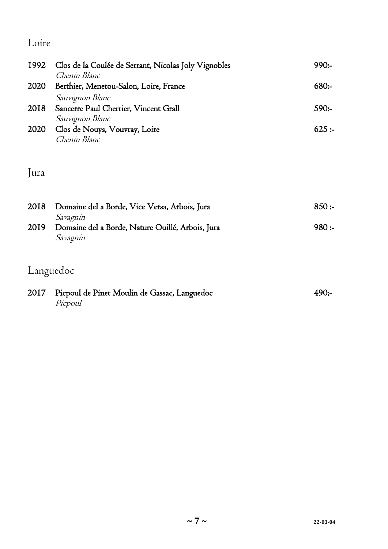## Loire

| 1992         | Clos de la Coulée de Serrant, Nicolas Joly Vignobles<br>Chenin Blanc                                         | 990:            |
|--------------|--------------------------------------------------------------------------------------------------------------|-----------------|
| 2020         | Berthier, Menetou-Salon, Loire, France                                                                       | 680:            |
| 2018<br>2020 | Sauvignon Blanc<br>Sancerre Paul Cherrier, Vincent Grall<br>Sauvignon Blanc<br>Clos de Nouys, Vouvray, Loire | $590:-$<br>625: |
|              | Chenin Blanc                                                                                                 |                 |

#### Jura

| 2018 | Domaine del a Borde, Vice Versa, Arbois, Jura    | 850:    |
|------|--------------------------------------------------|---------|
|      | Savagnin                                         |         |
| 2019 | Domaine del a Borde, Nature Ouillé, Arbois, Jura | $980 -$ |
|      | Savagnin                                         |         |
|      |                                                  |         |

#### Languedoc

| 2017 Picpoul de Pinet Moulin de Gassac, Languedoc | 490: |
|---------------------------------------------------|------|
| Picpoul                                           |      |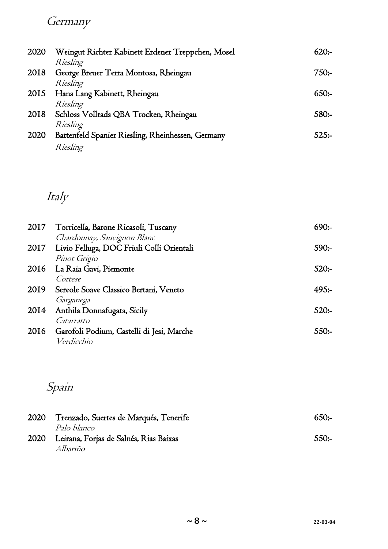# **Germany**

| 2020 | Weingut Richter Kabinett Erdener Treppchen, Mosel             | 620:    |
|------|---------------------------------------------------------------|---------|
| 2018 | Riesling<br>George Breuer Terra Montosa, Rheingau             | 750:-   |
| 2015 | Riesling<br>Hans Lang Kabinett, Rheingau                      | 650:    |
| 2018 | Riesling<br>Schloss Vollrads QBA Trocken, Rheingau            | $580:-$ |
| 2020 | Riesling                                                      | 52.5:   |
|      | Battenfeld Spanier Riesling, Rheinhessen, Germany<br>Riesling |         |

# Italy

| 2017 | Torricella, Barone Ricasoli, Tuscany           | $690:-$ |
|------|------------------------------------------------|---------|
|      | Chardonnay, Sauvignon Blanc                    |         |
| 2017 | Livio Felluga, DOC Friuli Colli Orientali      | $590:-$ |
|      | Pinot Grigio                                   |         |
|      | 2016 La Raia Gavi, Piemonte                    | $520:-$ |
|      | Cortese                                        |         |
| 2019 | Sereole Soave Classico Bertani, Veneto         | 495:    |
|      | Garganega                                      |         |
| 2014 | Anthila Donnafugata, Sicily                    | $520:-$ |
|      | Catarratto                                     |         |
|      | 2016 Garofoli Podium, Castelli di Jesi, Marche | $550:-$ |
|      | Verdicchio                                     |         |

# Spain

| 2020 | Trenzado, Suertes de Marqués, Tenerife                            | $650:-$ |
|------|-------------------------------------------------------------------|---------|
|      | <i>Palo blanco</i><br>2020 Leirana, Forjas de Salnés, Rias Baixas | $550:-$ |
|      | Albariño                                                          |         |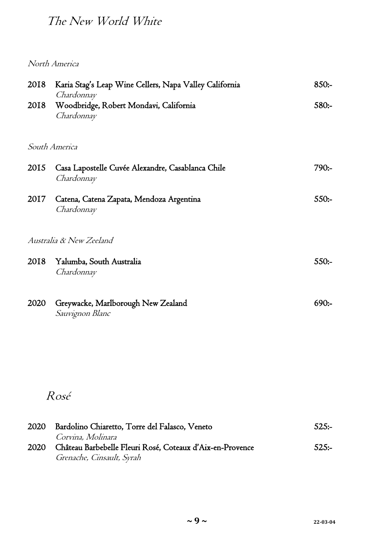# The New World White

North America

| 2018 | Karia Stag's Leap Wine Cellers, Napa Valley California<br>Chardonnay                   | $850:-$  |
|------|----------------------------------------------------------------------------------------|----------|
| 2018 | Woodbridge, Robert Mondavi, California<br>Chardonnay                                   | $580:-$  |
|      | South America                                                                          |          |
| 2015 | Casa Lapostelle Cuvée Alexandre, Casablanca Chile<br>Chardonnay                        | $790:-$  |
| 2017 | Catena, Catena Zapata, Mendoza Argentina<br>Chardonnay                                 | $550:-$  |
|      | Australia & New Zeeland                                                                |          |
| 2018 | Yalumba, South Australia<br>Chardonnay                                                 | $550:-$  |
| 2020 | Greywacke, Marlborough New Zealand<br>Sauvignon Blanc                                  | $690:-$  |
|      |                                                                                        |          |
|      |                                                                                        |          |
|      | Rosé                                                                                   |          |
| 2020 | Bardolino Chiaretto, Torre del Falasco, Veneto<br>Corvina, Molinara                    | $525:-$  |
| 2020 | Château Barbebelle Fleuri Rosé, Coteaux d'Aix-en-Provence<br>Grenache, Cinsault, Syrah | $525: -$ |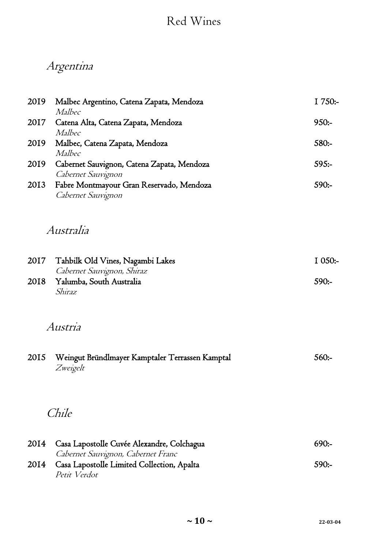# Red Wines

# Argentina

| 2019 | Malbec Argentino, Catena Zapata, Mendoza                       | I 750:-   |
|------|----------------------------------------------------------------|-----------|
| 2017 | Malbec<br>Catena Alta, Catena Zapata, Mendoza                  | $950:-$   |
|      | Malbec                                                         |           |
| 2019 | Malbec, Catena Zapata, Mendoza                                 | 580:-     |
|      | Malbec                                                         |           |
| 2019 | Cabernet Sauvignon, Catena Zapata, Mendoza                     | $595:-$   |
|      | Cabernet Sauvignon                                             | 590:-     |
| 2013 | Fabre Montmayour Gran Reservado, Mendoza<br>Cabernet Sauvignon |           |
|      |                                                                |           |
|      |                                                                |           |
|      | Australia                                                      |           |
|      |                                                                |           |
| 2017 | Tahbilk Old Vines, Nagambi Lakes                               | $I$ 050:- |
|      | Cabernet Sauvignon, Shiraz                                     |           |
| 2018 | Yalumba, South Australia                                       | $590:-$   |
|      | Shiraz                                                         |           |
|      |                                                                |           |
|      | Austria                                                        |           |
|      |                                                                |           |
|      |                                                                |           |
| 2015 | Weingut Bründlmayer Kamptaler Terrassen Kamptal                | $560: -$  |
|      | Zweigelt                                                       |           |
|      |                                                                |           |
|      |                                                                |           |
|      | Chile                                                          |           |
|      |                                                                |           |
| 2014 | Casa Lapostolle Cuvée Alexandre, Colchagua                     | 690:      |
|      | Cabernet Sauvignon, Cabernet Franc                             |           |
| 2014 | Casa Lapostolle Limited Collection, Apalta                     | $590:-$   |
|      | Petit Verdot                                                   |           |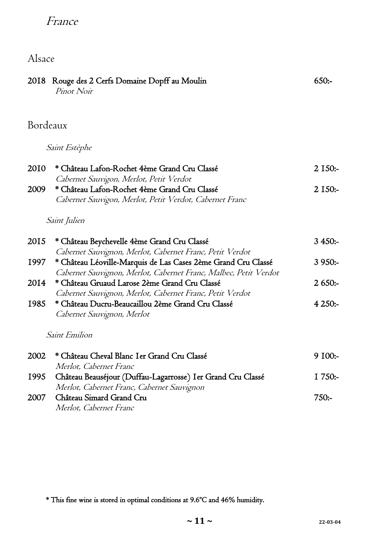## France

# Alsace

|          | 2018 Rouge des 2 Cerfs Domaine Dopff au Moulin<br>Pinot Noir                                                                      | 650:      |
|----------|-----------------------------------------------------------------------------------------------------------------------------------|-----------|
| Bordeaux |                                                                                                                                   |           |
|          | <i>Saint Estèphe</i>                                                                                                              |           |
| 2010     | * Château Lafon-Rochet 4ème Grand Cru Classé<br>Cabernet Sauvigon, Merlot, Petit Verdot                                           | $2$ 150:- |
| 2009     | * Château Lafon-Rochet 4ème Grand Cru Classé<br>Cabernet Sauvigon, Merlot, Petit Verdot, Cabernet Franc                           | $2$ I50:- |
|          | <i>Saint Julien</i>                                                                                                               |           |
| 2015     | * Château Beychevelle 4ème Grand Cru Classé<br>Cabernet Sauvignon, Merlot, Cabernet Franc, Petit Verdot                           | $3450:-$  |
| 1997     | * Château Léoville-Marquis de Las Cases 2ème Grand Cru Classé<br>Cabernet Sauvignon, Merlot, Cabernet Franc, Malbec, Petit Verdot | $3950:-$  |
| 2014     | * Château Gruaud Larose 2ème Grand Cru Classé<br>Cabernet Sauvignon, Merlot, Cabernet Franc, Petit Verdot                         | 2650:     |
| 1985     | * Château Ducru-Beaucaillou 2ème Grand Cru Classé<br>Cabernet Sauvignon, Merlot                                                   | $4250: -$ |
|          | <b>Saint Emilion</b>                                                                                                              |           |
| 2002     | * Château Cheval Blanc I er Grand Cru Classé<br><i>Merlot, Cabernet Franc</i>                                                     | $9\,100:$ |
| 1995     | Château Beauséjour (Duffau-Lagarrosse) I er Grand Cru Classé<br>Merlot, Cabernet Franc, Cabernet Sauvignon                        | $1750:-$  |
| 2007     | Château Simard Grand Cru<br>Merlot, Cabernet Franc                                                                                | 750:      |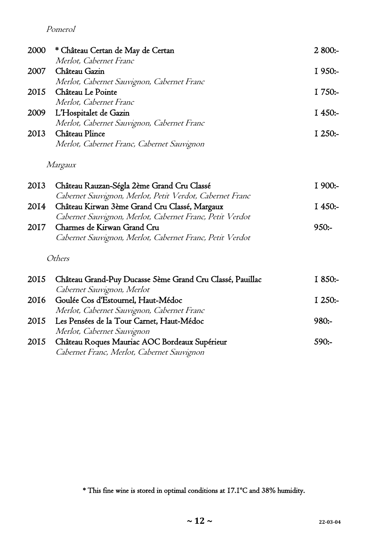#### Pomerol

| <b>2000</b> | * Château Certan de May de Certan          | $2800:-$  |
|-------------|--------------------------------------------|-----------|
|             | Merlot, Cabernet Franc                     |           |
| 2007        | Château Gazin                              | $1950:-$  |
|             | Merlot, Cabernet Sauvignon, Cabernet Franc |           |
| 2015        | Château Le Pointe                          | $1750:-$  |
|             | Merlot, Cabernet Franc                     |           |
| 2009        | L'Hospitalet de Gazin                      | I $450:$  |
|             | Merlot, Cabernet Sauvignon, Cabernet Franc |           |
| 2013        | Château Plince                             | I $250:-$ |
|             | Merlot, Cabernet Franc, Cabernet Sauvignon |           |
|             |                                            |           |

#### Margaux

|      | 2013 Château Rauzan-Ségla 2ème Grand Cru Classé          | $1900:-$ |
|------|----------------------------------------------------------|----------|
|      | Cabernet Sauvignon, Merlot, Petit Verdot, Cabernet Franc |          |
| 2014 | Château Kirwan 3ème Grand Cru Classé, Margaux            | $1450:-$ |
|      | Cabernet Sauvignon, Merlot, Cabernet Franc, Petit Verdot |          |
| 2017 | Charmes de Kirwan Grand Cru                              | $950:-$  |
|      | Cabernet Sauvignon, Merlot, Cabernet Franc, Petit Verdot |          |
|      |                                                          |          |

#### Others

|      | 2015 Château Grand-Puy Ducasse 5ème Grand Cru Classé, Pauillac | $1850:-$ |
|------|----------------------------------------------------------------|----------|
|      | Cabernet Sauvignon, Merlot                                     |          |
| 2016 | Goulée Cos d'Estournel, Haut-Médoc                             | $1250:-$ |
|      | Merlot, Cabernet Sauvignon, Cabernet Franc                     |          |
|      | 2015 Les Pensées de la Tour Carnet, Haut-Médoc                 | $980:-$  |
|      | Merlot, Cabernet Sauvignon                                     |          |
|      | 2015 Château Roques Mauriac AOC Bordeaux Supérieur             | $590:-$  |
|      | Cabernet Franc, Merlot, Cabernet Sauvignon                     |          |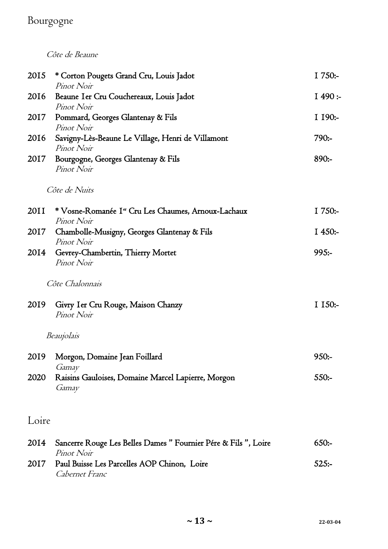## Bourgogne

Côte de Beaune

| 2015  | * Corton Pougets Grand Cru, Louis Jadot<br>Pinot Noir                         | I 750:-   |
|-------|-------------------------------------------------------------------------------|-----------|
| 2016  | Beaune Ier Cru Couchereaux, Louis Jadot<br>Pinot Noir                         | 1490:     |
| 2017  | Pommard, Georges Glantenay & Fils<br>Pinot Noir                               | $I$ 190:- |
| 2016  | Savigny-Lès-Beaune Le Village, Henri de Villamont<br>Pinot Noir               | $790:-$   |
| 2017  | Bourgogne, Georges Glantenay & Fils<br>Pinot Noir                             | $890:-$   |
|       | <i>Côte de Nuits</i>                                                          |           |
| 2011  | * Vosne-Romanée I <sup>er</sup> Cru Les Chaumes, Arnoux-Lachaux<br>Pinot Noir | I 750:-   |
| 2017  | Chambolle-Musigny, Georges Glantenay & Fils<br>Pinot Noir                     | $I$ 450:- |
| 2014  | Gevrey-Chambertin, Thierry Mortet<br>Pinot Noir                               | 995:      |
|       | Côte Chalonnais                                                               |           |
| 2019  | Givry Ier Cru Rouge, Maison Chanzy<br>Pinot Noir                              | I 150:-   |
|       | Beaujolais                                                                    |           |
| 2019  | Morgon, Domaine Jean Foillard<br>Gamay                                        | 950:      |
| 2020  | Raisins Gauloises, Domaine Marcel Lapierre, Morgon<br>Gamay                   | $550: -$  |
| Loire |                                                                               |           |
| 2014  | Sancerre Rouge Les Belles Dames " Fournier Pére & Fils ", Loire<br>Pinot Noir | 650:      |
| 2017  | Paul Buisse Les Parcelles AOP Chinon, Loire<br>Cabernet Franc                 | 525:      |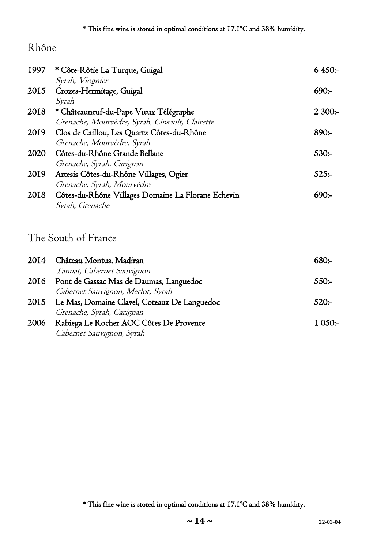### Rhône

| 1997 | * Côte-Rôtie La Turque, Guigal                     | $6450:-$ |
|------|----------------------------------------------------|----------|
|      | Syrah, Viognier                                    |          |
| 2015 | Crozes-Hermitage, Guigal                           | 690:     |
|      | Syrah                                              |          |
| 2018 | * Châteauneuf-du-Pape Vieux Télégraphe             | $2300:-$ |
|      | Grenache, Mourvèdre, Syrah, Cinsault, Clairette    |          |
| 2019 | Clos de Caillou, Les Quartz Côtes-du-Rhône         | $890:-$  |
|      | Grenache, Mourvèdre, Syrah                         |          |
| 2020 | Côtes-du-Rhône Grande Bellane                      | $530:-$  |
|      | Grenache, Syrah, Carignan                          |          |
| 2019 | Artesis Côtes-du-Rhône Villages, Ogier             | $525: -$ |
|      | Grenache, Syrah, Mourvèdre                         |          |
| 2018 | Côtes-du-Rhône Villages Domaine La Florane Echevin | 690:     |
|      | <i>Syrah, Grenache</i>                             |          |
|      |                                                    |          |

# The South of France

|      | 2014 Château Montus, Madiran                      | $680: -$ |
|------|---------------------------------------------------|----------|
|      | Tannat, Cabernet Sauvignon                        |          |
|      | 2016 Pont de Gassac Mas de Daumas, Languedoc      | $550:-$  |
|      | Cabernet Sauvignon, Merlot, Syrah                 |          |
|      | 2015 Le Mas, Domaine Clavel, Coteaux De Languedoc | $520: -$ |
|      | Grenache, Syrah, Carignan                         |          |
| 2006 | Rabiega Le Rocher AOC Côtes De Provence           | $1050:-$ |
|      | Cabernet Sauvignon, Syrah                         |          |

<sup>\*</sup> This fine wine is stored in optimal conditions at 17.1ºC and 38% humidity.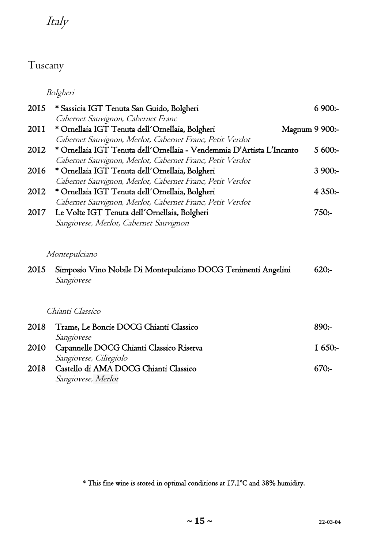# Italy

### Tuscany

Bolgheri

| 2015 | * Sassicia IGT Tenuta San Guido, Bolgheri                             | $6900:-$       |  |
|------|-----------------------------------------------------------------------|----------------|--|
|      | Cabernet Sauvignon, Cabernet Franc                                    |                |  |
| 2011 | * Ornellaia IGT Tenuta dell'Ornellaia, Bolgheri                       | Magnum 9 900:- |  |
|      | Cabernet Sauvignon, Merlot, Cabernet Franc, Petit Verdot              |                |  |
| 2012 | * Ornellaia IGT Tenuta dell'Ornellaia - Vendemmia D'Artista L'Incanto | $5600:-$       |  |
|      | Cabernet Sauvignon, Merlot, Cabernet Franc, Petit Verdot              |                |  |
| 2016 | * Ornellaia IGT Tenuta dell'Ornellaia, Bolgheri                       | $3900:-$       |  |
|      | Cabernet Sauvignon, Merlot, Cabernet Franc, Petit Verdot              |                |  |
| 2012 | * Ornellaia IGT Tenuta dell'Ornellaia, Bolgheri                       | $4350:-$       |  |
|      | Cabernet Sauvignon, Merlot, Cabernet Franc, Petit Verdot              |                |  |
| 2017 | Le Volte IGT Tenuta dell'Ornellaia, Bolgheri                          | $750: -$       |  |
|      | Sangiovese, Merlot, Cabernet Sauvignon                                |                |  |
|      |                                                                       |                |  |
|      | Montepulciano                                                         |                |  |
| 2015 | Simposio Vino Nobile Di Montepulciano DOCG Tenimenti Angelini         | $620: -$       |  |
|      | Sangiovese                                                            |                |  |
|      |                                                                       |                |  |
|      | Chianti Classico                                                      |                |  |
| 2018 | Trame, Le Boncie DOCG Chianti Classico                                | $890:-$        |  |
|      | Sangiovese                                                            |                |  |
| 2010 | Capannelle DOCG Chianti Classico Riserva                              | $I$ 650:-      |  |
|      | Sangiovese, Ciliegiolo                                                |                |  |
| 2018 | Castello di AMA DOCG Chianti Classico                                 | $670: -$       |  |
|      | Sangiovese, Merlot                                                    |                |  |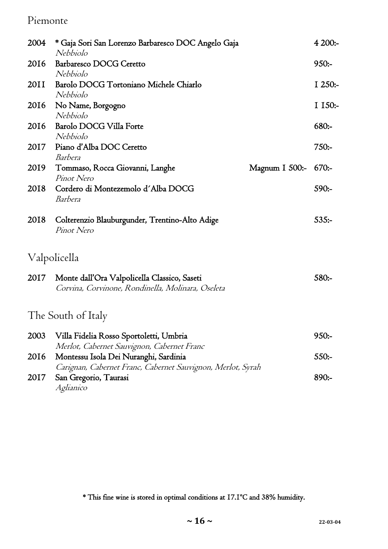#### Piemonte

| 2004 | * Gaja Sori San Lorenzo Barbaresco DOC Angelo Gaja<br>Nebbiolo                                                                                     | 4200:     |
|------|----------------------------------------------------------------------------------------------------------------------------------------------------|-----------|
| 2016 | Barbaresco DOCG Ceretto<br>Nebbiolo                                                                                                                | $950:-$   |
| 20II | Barolo DOCG Tortoniano Michele Chiarlo<br>Nebbiolo                                                                                                 | $I$ 250:- |
| 2016 | No Name, Borgogno<br>Nebbiolo                                                                                                                      | I 150:-   |
| 2016 | Barolo DOCG Villa Forte<br>Nebbiolo                                                                                                                | $680: -$  |
| 2017 | Piano d'Alba DOC Ceretto<br>Barbera                                                                                                                | $750: -$  |
| 2019 | Tommaso, Rocca Giovanni, Langhe<br>Magnum I 500:-<br>Pinot Nero                                                                                    | 670:      |
| 2018 | Cordero di Montezemolo d'Alba DOCG<br>Barbera                                                                                                      | $590:-$   |
| 2018 | Colterenzio Blauburgunder, Trentino-Alto Adige<br>Pinot Nero                                                                                       | $535: -$  |
|      | Valpolicella                                                                                                                                       |           |
| 2017 | Monte dall'Ora Valpolicella Classico, Saseti<br>Corvina, Corvinone, Rondinella, Molinara, Oseleta                                                  | $580:-$   |
|      | The South of Italy                                                                                                                                 |           |
| 2003 | Villa Fidelia Rosso Sportoletti, Umbria                                                                                                            | $950:-$   |
| 2016 | Merlot, Cabernet Sauvignon, Cabernet Franc<br>Montessu Isola Dei Nuranghi, Sardinia<br>Carignan, Cabernet Franc, Cabernet Sauvignon, Merlot, Syrah | $550:-$   |
| 2017 | San Gregorio, Taurasi                                                                                                                              | 890:      |

Aglianico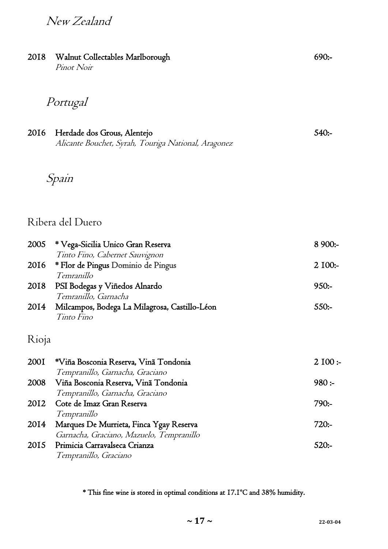## New Zealand

| 2018  | Walnut Collectables Marlborough<br>Pinot Noir                                                      | 690:     |
|-------|----------------------------------------------------------------------------------------------------|----------|
|       | Portugal                                                                                           |          |
| 2016  | Herdade dos Grous, Alentejo<br>Alicante Bouchet, Syrah, Touriga National, Aragonez                 | $540: -$ |
|       | Spain                                                                                              |          |
|       | Ribera del Duero                                                                                   |          |
| 2005  | * Vega-Sicilia Unico Gran Reserva                                                                  | 8 900:-  |
| 2016  | Tinto Fino, Cabernet Sauvignon<br>* Flor de Pingus Dominio de Pingus<br>Temranillo                 | 2 100:-  |
| 2018  | PSI Bodegas y Viñedos Alnardo<br>Temranillo, Garnacha                                              | $950:-$  |
| 2014  | Milcampos, Bodega La Milagrosa, Castillo-Léon<br>Tinto Fino                                        | 550:     |
| Rioja |                                                                                                    |          |
| 200I  | *Viña Bosconia Reserva, Vinã Tondonia<br>Tempranillo, Garnacha, Graciano                           | 2100:    |
| 2008  | Viña Bosconia Reserva, Vinã Tondonia                                                               | 980:     |
| 2012  | Tempranillo, Garnacha, Graciano<br>Cote de Imaz Gran Reserva<br>Tempranillo                        | $790:-$  |
| 2014  | Marques De Murrieta, Finca Ygay Reserva                                                            | 720:     |
| 2015  | Garnacha, Graciano, Mazuelo, Tempranillo<br>Primicia Carravalseca Crianza<br>Tempranillo, Graciano | $520: -$ |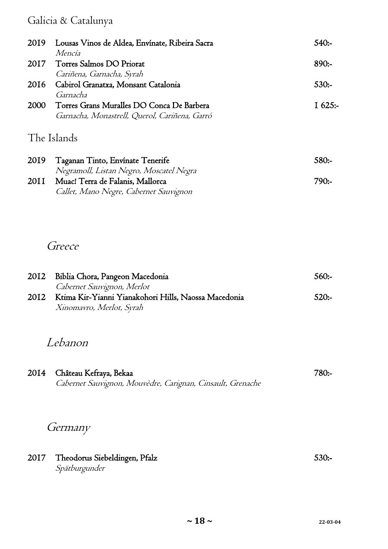## Galicia & Catalunya

| 2019 | Lousas Vinos de Aldea, Envínate, Ribeira Sacra | 540:     |
|------|------------------------------------------------|----------|
|      | Mencía                                         |          |
| 2017 | Torres Salmos DO Priorat                       | $890:-$  |
|      | Cariñena, Garnacha, Syrah                      |          |
| 2016 | Cabirol Granatxa, Monsant Catalonia            | $530:-$  |
|      | Garnacha                                       |          |
| 2000 | Torres Grans Muralles DO Conca De Barbera      | I $625:$ |
|      | Garnacha, Monastrell, Querol, Cariñena, Garró  |          |
|      |                                                |          |
|      | The Islands                                    |          |
|      |                                                |          |
| 2019 | Taganan Tinto, Envínate Tenerife               | 580:-    |
|      | Negramoll, Listan Negro, Moscatel Negra        |          |

| 1 Negramon, Eistan i Negro, ivioscatci i Negra |         |
|------------------------------------------------|---------|
| 2011 - Muac! Terra de Falanis, Mallorca        | $790:-$ |
| Callet, Mano Negre, Cabernet Sauvignon         |         |

#### Greece

| 2012 | Biblia Chora, Pangeon Macedonia                      | $560:-$ |
|------|------------------------------------------------------|---------|
|      | Cabernet Sauvignon, Merlot                           |         |
| 2012 | Ktima Kir-Yianni Yianakohori Hills, Naossa Macedonia | 520:    |
|      | Xinomavro, Merlot, Syrah                             |         |

# Lebanon

| 2014 Château Kefraya, Bekaa                                | 780:- |
|------------------------------------------------------------|-------|
| Cabernet Sauvignon, Mouvèdre, Carignan, Cinsault, Grenache |       |

# Germany

| 2017 Theodorus Siebeldingen, Pfalz | $530:-$ |
|------------------------------------|---------|
| Spätburgunder                      |         |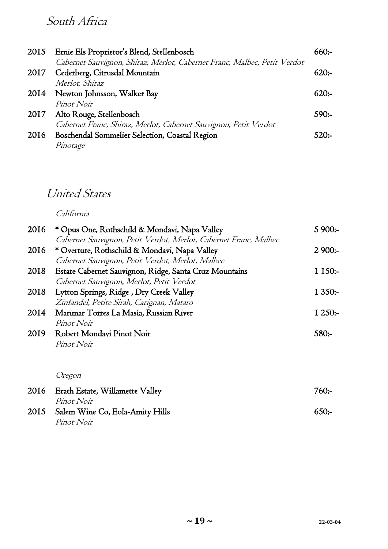# South Africa

|      | 2015 Ernie Els Proprietor's Blend, Stellenbosch<br>Cabernet Sauvignon, Shiraz, Merlot, Cabernet Franc, Malbec, Petit Verdot | $660:-$ |
|------|-----------------------------------------------------------------------------------------------------------------------------|---------|
| 2017 | Cederberg, Citrusdal Mountain<br>Merlot, Shiraz                                                                             | 620:    |
| 2014 | Newton Johnsson, Walker Bay                                                                                                 | 620:    |
| 2017 | Pinot Noir<br>Alto Rouge, Stellenbosch                                                                                      | $590:-$ |
| 2016 | Cabernet Franc, Shiraz, Merlot, Cabernet Sauvignon, Petit Verdot<br>Boschendal Sommelier Selection, Coastal Region          | $520 -$ |
|      | Pinotage                                                                                                                    |         |

# United States

California

| 2016 | * Opus One, Rothschild & Mondavi, Napa Valley                    | $5900:-$ |
|------|------------------------------------------------------------------|----------|
|      | Cabernet Sauvignon, Petit Verdot, Merlot, Cabernet Franc, Malbec |          |
| 2016 | * Overture, Rothschild & Mondavi, Napa Valley                    | $2900:-$ |
|      | Cabernet Sauvignon, Petit Verdot, Merlot, Malbec                 |          |
| 2018 | Estate Cabernet Sauvignon, Ridge, Santa Cruz Mountains           | $1150:-$ |
|      | Cabernet Sauvignon, Merlot, Petit Verdot                         |          |
| 2018 | Lytton Springs, Ridge, Dry Creek Valley                          | $1350:-$ |
|      | Zinfandel, Petite Sirah, Carignan, Mataro                        |          |
| 2014 | Marimar Torres La Masía, Russian River                           | $1250:-$ |
|      | Pinot Noir                                                       |          |
| 2019 | Robert Mondavi Pinot Noir                                        | 580:-    |
|      | Pinot Noir                                                       |          |
|      |                                                                  |          |
|      |                                                                  |          |
|      | Oregon                                                           |          |
| 2016 | Erath Estate, Willamette Valley                                  | 760:-    |
|      | <i>Pinot Noir</i>                                                |          |

| 1 1110 L VOIL<br>2015 Salem Wine Co, Eola-Amity Hills | 650: |
|-------------------------------------------------------|------|
| <i>Pinot Noir</i>                                     |      |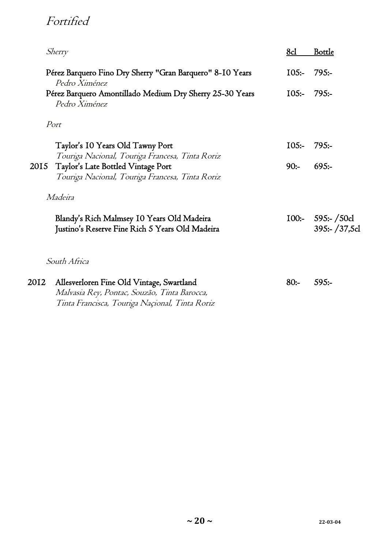# Fortified

|      | <i>Sherry</i>                                                                                                                               | 8d      | <b>Bottle</b>                       |
|------|---------------------------------------------------------------------------------------------------------------------------------------------|---------|-------------------------------------|
|      | Pérez Barquero Fino Dry Sherry "Gran Barquero" 8-10 Years<br>Pedro Ximénez                                                                  | $105:-$ | 795:                                |
|      | Pérez Barquero Amontillado Medium Dry Sherry 25-30 Years<br>Pedro Ximénez                                                                   | $105:-$ | 795:                                |
|      | Port                                                                                                                                        |         |                                     |
|      | Taylor's 10 Years Old Tawny Port<br>Touriga Nacional, Touriga Francesa, Tinta Roriz                                                         | $105:-$ | $795: -$                            |
| 2015 | Taylor's Late Bottled Vintage Port<br>Touriga Nacional, Touriga Francesa, Tinta Roriz                                                       | $90:-$  | $695: -$                            |
|      | Madeira                                                                                                                                     |         |                                     |
|      | Blandy's Rich Malmsey 10 Years Old Madeira<br>Justino's Reserve Fine Rich 5 Years Old Madeira                                               |         | $100:- 595:- 50c1$<br>395:- /37,5cl |
|      | South Africa                                                                                                                                |         |                                     |
| 2012 | Allesverloren Fine Old Vintage, Swartland<br>Malvasia Rey, Pontac, Souzão, Tinta Barocca,<br>Tinta Francisca, Touriga Naçional, Tinta Roriz | $80:-$  | $595:-$                             |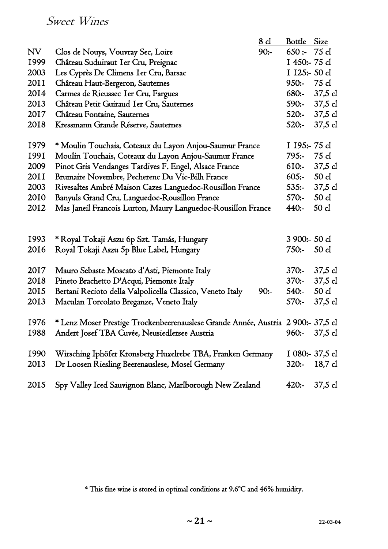### Sweet Wines

|      |                                                                                  | <u>8 d</u> | Bottle        | Size            |
|------|----------------------------------------------------------------------------------|------------|---------------|-----------------|
| NV   | Clos de Nouys, Vouvray Sec, Loire                                                | $90:-$     | 650:          | 75 cl           |
| 1999 | Château Suduiraut Ier Cru, Preignac                                              |            | I 450:-75 cl  |                 |
| 2003 | Les Cyprès De Climens Ier Cru, Barsac                                            |            | I 125:- 50 cl |                 |
| 20II | Château Haut-Bergeron, Sauternes                                                 |            | $950:-$       | 75 cl           |
| 2014 | Carmes de Rieussec Ier Cru, Fargues                                              |            | $680:-$       | 37,5 cl         |
| 2013 | Château Petit Guiraud Ier Cru, Sauternes                                         |            | 590:-         | 37,5 cl         |
| 2017 | Château Fontaine, Sauternes                                                      |            |               | 520:- 37,5 cl   |
| 2018 | Kressmann Grande Réserve, Sauternes                                              |            | $520:-$       | 37,5 cl         |
| 1979 | * Moulin Touchais, Coteaux du Layon Anjou-Saumur France                          |            | I 195:- 75 cl |                 |
| 1991 | Moulin Touchais, Coteaux du Layon Anjou-Saumur France                            |            | $795:-$       | 75 cl           |
| 2009 | Pinot Gris Vendanges Tardives F. Engel, Alsace France                            |            | $610:-$       | 37,5 cl         |
| 20II | Brumaire Novembre, Pecherenc Du Vic-Bilh France                                  |            | 605:          | 50 cl           |
| 2003 | Rivesaltes Ambré Maison Cazes Languedoc-Rousillon France                         |            | $535:-$       | 37,5 cl         |
| 2010 | Banyuls Grand Cru, Languedoc-Rousillon France                                    |            | 570:-         | 50 cl           |
| 2012 | Mas Janeil Francois Lurton, Maury Languedoc-Rousillon France                     |            | 440:          | 50 cl           |
|      |                                                                                  |            |               |                 |
| 1993 | * Royal Tokaji Aszu 6p Szt. Tamás, Hungary                                       |            | 3 900:- 50 cl |                 |
| 2016 | Royal Tokaji Aszu 5p Blue Label, Hungary                                         |            | $750:-$       | 50 cl           |
| 2017 | Mauro Sebaste Moscato d'Asti, Piemonte Italy                                     |            | $370:-$       | 37,5 cl         |
| 2018 | Pineto Brachetto D'Acqui, Piemonte Italy                                         |            | $370:-$       | 37,5 cl         |
| 2015 | Bertani Recioto della Valpolicella Classico, Veneto Italy                        | $90:-$     | $540:-$       | 50 cl           |
| 2013 | Maculan Torcolato Breganze, Veneto Italy                                         |            | $570:-$       | 37,5 cl         |
| 1976 | * Lenz Moser Prestige Trockenbeerenauslese Grande Année, Austria 2 900:- 37,5 cl |            |               |                 |
| 1988 | Andert Josef TBA Cuvée, Neusiedlersee Austria                                    |            | 960:-         | 37,5 cl         |
| 1990 | Wirsching Iphöfer Kronsberg Huxelrebe TBA, Franken Germany                       |            |               | I 080:- 37,5 cl |
| 2013 | Dr Loosen Riesling Beerenauslese, Mosel Germany                                  |            | $320:-$       | 18,7 cl         |
|      |                                                                                  |            |               |                 |
| 2015 | Spy Valley Iced Sauvignon Blanc, Marlborough New Zealand                         |            | $420:-$       | 37,5 cl         |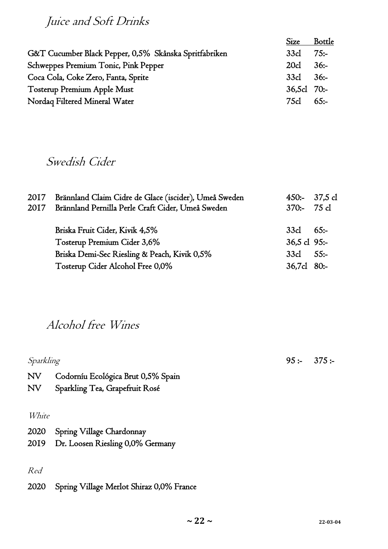Juice and Soft Drinks

|                                                       | <b>Size</b>    | <b>Bottle</b> |
|-------------------------------------------------------|----------------|---------------|
| G&T Cucumber Black Pepper, 0,5% Skånska Spritfabriken | 33cl           | 75:           |
| Schweppes Premium Tonic, Pink Pepper                  | 20cl           | $36: -$       |
| Coca Cola, Coke Zero, Fanta, Sprite                   | $33c1 \t36$ :- |               |
| Tosterup Premium Apple Must                           | $36,5c1$ 70:-  |               |
| Nordaq Filtered Mineral Water                         | 75cl           | $65:-$        |

#### Swedish Cider

| 2017<br>2017 | Brännland Claim Cidre de Glace (iscider), Umeå Sweden<br>Brännland Pernilla Perle Craft Cider, Umeå Sweden | $450:-37,5$ cl<br>$370:-75c1$ |         |
|--------------|------------------------------------------------------------------------------------------------------------|-------------------------------|---------|
|              | Briska Fruit Cider, Kivik 4,5%                                                                             | 33cl                          | 65:     |
|              | Tosterup Premium Cider 3,6%                                                                                | $36,5$ cl 95:-                |         |
|              | Briska Demi-Sec Riesling & Peach, Kivik 0,5%                                                               | 33cl                          | $55: -$ |
|              | Tosterup Cider Alcohol Free 0,0%                                                                           | 36,7cl                        | $80:-$  |

#### Alcohol free Wines

Sparkling 95 :- 375 :-NV Codorníu Ecológica Brut 0,5% Spain NV Sparkling Tea, Grapefruit Rosé White 2020 Spring Village Chardonnay 2019 Dr. Loosen Riesling 0,0% Germany Red

2020 Spring Village Merlot Shiraz 0,0% France